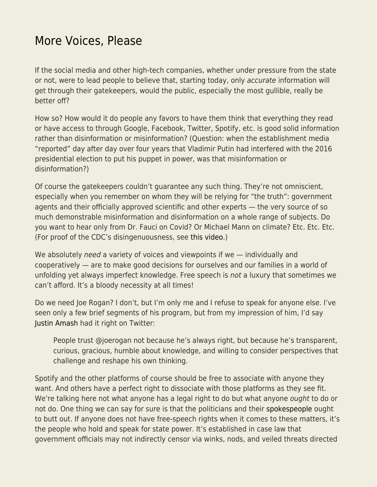## [More Voices, Please](https://everything-voluntary.com/more-voices-please)

If the social media and other high-tech companies, whether under pressure from the state or not, were to lead people to believe that, starting today, only accurate information will get through their gatekeepers, would the public, especially the most gullible, really be better off?

How so? How would it do people any favors to have them think that everything they read or have access to through Google, Facebook, Twitter, Spotify, etc. is good solid information rather than disinformation or misinformation? (Question: when the establishment media "reported" day after day over four years that Vladimir Putin had interfered with the 2016 presidential election to put his puppet in power, was that misinformation or disinformation?)

Of course the gatekeepers couldn't guarantee any such thing. They're not omniscient, especially when you remember on whom they will be relying for "the truth": government agents and their officially approved scientific and other experts — the very source of so much demonstrable misinformation and disinformation on a whole range of subjects. Do you want to hear only from Dr. Fauci on Covid? Or Michael Mann on climate? Etc. Etc. Etc. (For proof of the CDC's disingenuousness, see [this video](https://youtu.be/4aRNqjE6aNU).)

We absolutely need a variety of voices and viewpoints if we — individually and cooperatively — are to make good decisions for ourselves and our families in a world of unfolding yet always imperfect knowledge. Free speech is not a luxury that sometimes we can't afford. It's a bloody necessity at all times!

Do we need Joe Rogan? I don't, but I'm only me and I refuse to speak for anyone else. I've seen only a few brief segments of his program, but from my impression of him, I'd say [Justin Amash](https://twitter.com/justinamash/status/1488192573323853827) had it right on Twitter:

People trust @joerogan not because he's always right, but because he's transparent, curious, gracious, humble about knowledge, and willing to consider perspectives that challenge and reshape his own thinking.

Spotify and the other platforms of course should be free to associate with anyone they want. And others have a perfect right to dissociate with those platforms as they see fit. We're talking here not what anyone has a legal right to do but what anyone ought to do or not do. One thing we can say for sure is that the politicians and their [spokespeople](https://youtu.be/jqy3L3IClTY) ought to butt out. If anyone does not have free-speech rights when it comes to these matters, it's the people who hold and speak for state power. It's established in case law that government officials may not indirectly censor via winks, nods, and veiled threats directed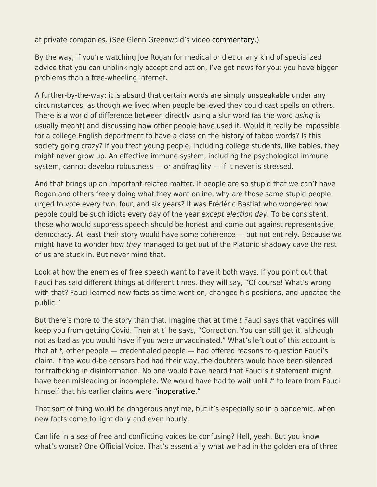at private companies. (See Glenn Greenwald's video [commentary](https://youtu.be/g_uSPwYiVFs).)

By the way, if you're watching Joe Rogan for medical or diet or any kind of specialized advice that you can unblinkingly accept and act on, I've got news for you: you have bigger problems than a free-wheeling internet.

A further-by-the-way: it is absurd that certain words are simply unspeakable under any circumstances, as though we lived when people believed they could cast spells on others. There is a world of difference between directly using a slur word (as the word using is usually meant) and discussing how other people have used it. Would it really be impossible for a college English department to have a class on the history of taboo words? Is this society going crazy? If you treat young people, including college students, like babies, they might never grow up. An effective immune system, including the psychological immune system, cannot develop robustness — or antifragility — if it never is stressed.

And that brings up an important related matter. If people are so stupid that we can't have Rogan and others freely doing what they want online, why are those same stupid people urged to vote every two, four, and six years? It was Frédéric Bastiat who wondered how people could be such idiots every day of the year except election day. To be consistent, those who would suppress speech should be honest and come out against representative democracy. At least their story would have some coherence — but not entirely. Because we might have to wonder how they managed to get out of the Platonic shadowy cave the rest of us are stuck in. But never mind that.

Look at how the enemies of free speech want to have it both ways. If you point out that Fauci has said different things at different times, they will say, "Of course! What's wrong with that? Fauci learned new facts as time went on, changed his positions, and updated the public."

But there's more to the story than that. Imagine that at time t Fauci says that vaccines will keep you from getting Covid. Then at t' he says, "Correction. You can still get it, although not as bad as you would have if you were unvaccinated." What's left out of this account is that at  $t$ , other people  $-$  credentialed people  $-$  had offered reasons to question Fauci's claim. If the would-be censors had had their way, the doubters would have been silenced for trafficking in disinformation. No one would have heard that Fauci's t statement might have been misleading or incomplete. We would have had to wait until t' to learn from Fauci himself that his earlier claims were ["inoperative."](https://featuredcontent.psychonomic.org/all-previous-statements-are-inoperative-remembering-politicians-flip-flops/)

That sort of thing would be dangerous anytime, but it's especially so in a pandemic, when new facts come to light daily and even hourly.

Can life in a sea of free and conflicting voices be confusing? Hell, yeah. But you know what's worse? One Official Voice. That's essentially what we had in the golden era of three